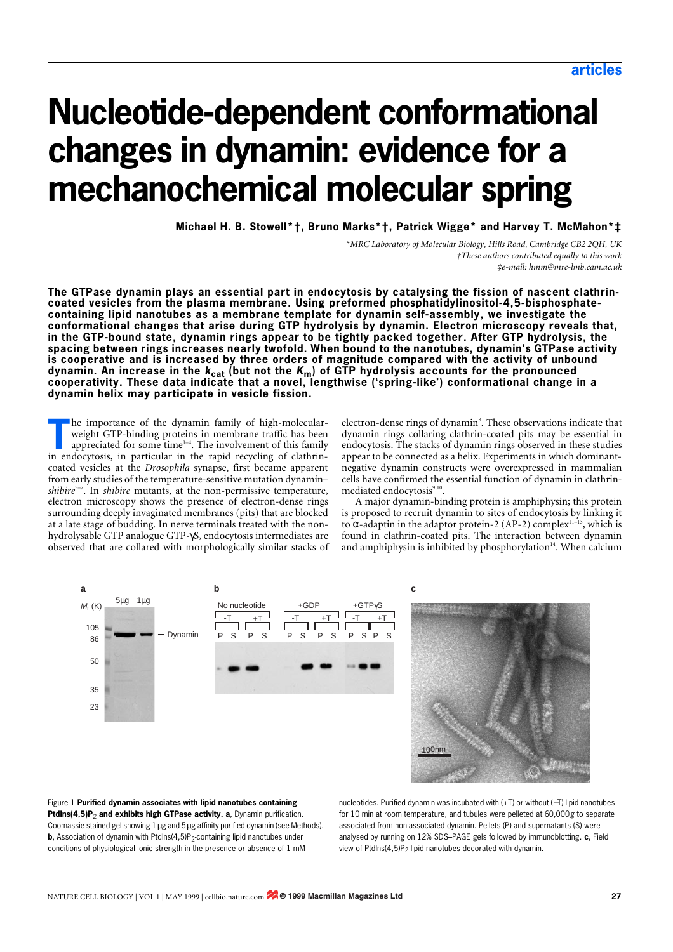# **Nucleotide-dependent conformational changes in dynamin: evidence for a mechanochemical molecular spring**

**Michael H. B. Stowell[\\*](#page-0-0)[†](#page-0-1), Bruno Marks[\\*](#page-0-0)[†,](#page-0-1) Patrick Wigge[\\*](#page-0-0) and Harvey T. McMahon[\\*](#page-0-0)[‡](#page-0-2)**

*\*MRC Laboratory of Molecular Biology, Hills Road, Cambridge CB2 2QH, UK †These authors contributed equally to this work ‡e-mail: hmm@mrc-lmb.cam.ac.uk*

<span id="page-0-2"></span><span id="page-0-1"></span><span id="page-0-0"></span>**The GTPase dynamin plays an essential part in endocytosis by catalysing the fission of nascent clathrincoated vesicles from the plasma membrane. Using preformed phosphatidylinositol-4,5-bisphosphatecontaining lipid nanotubes as a membrane template for dynamin self-assembly, we investigate the conformational changes that arise during GTP hydrolysis by dynamin. Electron microscopy reveals that, in the GTP-bound state, dynamin rings appear to be tightly packed together. After GTP hydrolysis, the spacing between rings increases nearly twofold. When bound to the nanotubes, dynamin's GTPase activity is cooperative and is increased by three orders of magnitude compared with the activity of unbound dynamin. An increase in the** *k***cat (but not the** *K***m) of GTP hydrolysis accounts for the pronounced cooperativity. These data indicate that a novel, lengthwise ('spring-like') conformational change in a dynamin helix may participate in vesicle fission.** 

he importance of the dynamin family of high-molecularweight GTP-binding proteins in membrane traffic has been appreciated for some time<sup>1-4</sup>. The involvement of this family **I** he importance of the dynamin family of high-molecular-weight GTP-binding proteins in membrane traffic has been appreciated for some time<sup>1-4</sup>. The involvement of this family in endocytosis, in particular in the rapid r coated vesicles at the *Drosophila* synapse, first became apparent from early studies of the temperature-sensitive mutation dynamin– *shibire*<sup>5–7</sup>. In *shibire* mutants, at the non-permissive temperature, electron microscopy shows the presence of electron-dense rings surrounding deeply invaginated membranes (pits) that are blocked at a late stage of budding. In nerve terminals treated with the nonhydrolysable GTP analogue GTP-γS, endocytosis intermediates are observed that are collared with morphologically similar stacks of

electron-dense rings of dynamin<sup>8</sup>. These observations indicate that dynamin rings collaring clathrin-coated pits may be essential in endocytosis. The stacks of dynamin rings observed in these studies appear to be connected as a helix. Experiments in which dominantnegative dynamin constructs were overexpressed in mammalian cells have confirmed the essential function of dynamin in clathrinmediated endocytosis<sup>9,10</sup>.

A major dynamin-binding protein is amphiphysin; this protein is proposed to recruit dynamin to sites of endocytosis by linking it to α-adaptin in the adaptor protein-2 (AP-2) complex<sup>11-13</sup>, which is found in clathrin-coated pits. The interaction between dynamin and amphiphysin is inhibited by phosphorylation $14$ . When calcium



Figure 1 **Purified dynamin associates with lipid nanotubes containing PtdIns(4,5)P<sub>2</sub>** and exhibits high GTPase activity. a, Dynamin purification. Coomassie-stained gel showing 1µg and 5µg affinity-purified dynamin (see Methods). **b**, Association of dynamin with PtdIns(4,5)P<sub>2</sub>-containing lipid nanotubes under conditions of physiological ionic strength in the presence or absence of 1 mM

nucleotides. Purified dynamin was incubated with (+T) or without (−T) lipid nanotubes for 10 min at room temperature, and tubules were pelleted at 60,000*g* to separate associated from non-associated dynamin. Pellets (P) and supernatants (S) were analysed by running on 12% SDS–PAGE gels followed by immunoblotting. **c**, Field view of PtdIns(4,5)P<sub>2</sub> lipid nanotubes decorated with dynamin.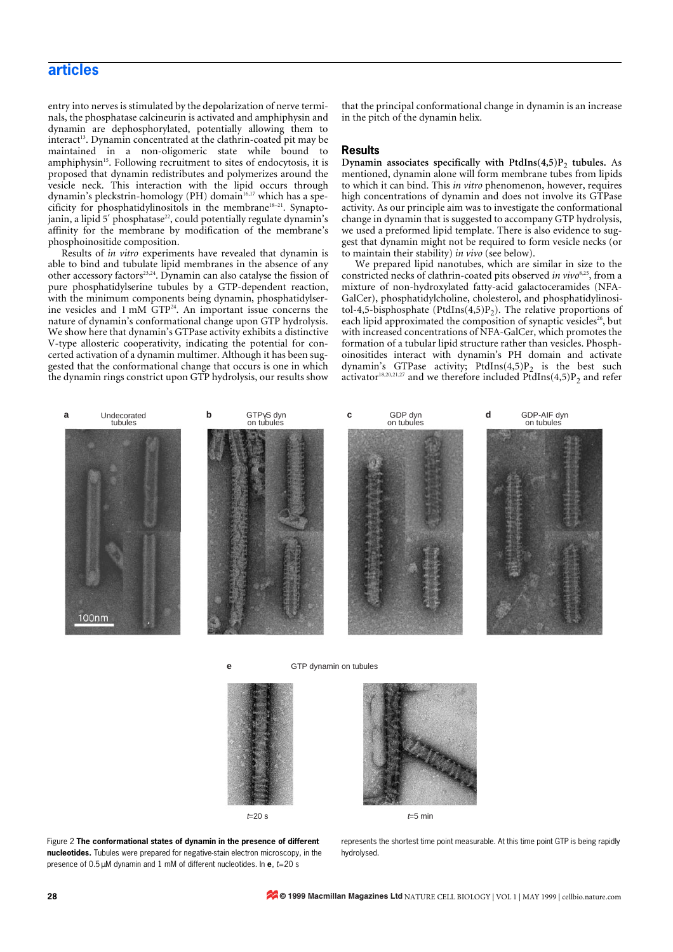# **articles**

entry into nerves is stimulated by the depolarization of nerve terminals, the phosphatase calcineurin is activated and amphiphysin and dynamin are dephosphorylated, potentially allowing them to interact<sup>13</sup>. Dynamin concentrated at the clathrin-coated pit may be maintained in a non-oligomeric state while bound to amphiphysin<sup>15</sup>. Following recruitment to sites of endocytosis, it is proposed that dynamin redistributes and polymerizes around the vesicle neck. This interaction with the lipid occurs through dynamin's pleckstrin-homology (PH) domain<sup>16,17</sup> which has a specificity for phosphatidylinositols in the membrane<sup>18–21</sup>. Synapto $j$ anin, a lipid 5' phosphatase<sup>22</sup>, could potentially regulate dynamin's affinity for the membrane by modification of the membrane's phosphoinositide composition.

Results of *in vitro* experiments have revealed that dynamin is able to bind and tubulate lipid membranes in the absence of any other accessory factors<sup>23,24</sup>. Dynamin can also catalyse the fission of pure phosphatidylserine tubules by a GTP-dependent reaction, with the minimum components being dynamin, phosphatidylserine vesicles and 1 mM GTP<sup>24</sup>. An important issue concerns the nature of dynamin's conformational change upon GTP hydrolysis. We show here that dynamin's GTPase activity exhibits a distinctive V-type allosteric cooperativity, indicating the potential for concerted activation of a dynamin multimer. Although it has been suggested that the conformational change that occurs is one in which the dynamin rings constrict upon GTP hydrolysis, our results show that the principal conformational change in dynamin is an increase in the pitch of the dynamin helix.

# **Results**

**Dynamin associates specifically with PtdIns** $(4,5)P_2$  **tubules.** As mentioned, dynamin alone will form membrane tubes from lipids to which it can bind. This *in vitro* phenomenon, however, requires high concentrations of dynamin and does not involve its GTPase activity. As our principle aim was to investigate the conformational change in dynamin that is suggested to accompany GTP hydrolysis, we used a preformed lipid template. There is also evidence to suggest that dynamin might not be required to form vesicle necks (or to maintain their stability) *in vivo* (see below).

We prepared lipid nanotubes, which are similar in size to the constricted necks of clathrin-coated pits observed *in vivo*<sup>8,25</sup>, from a mixture of non-hydroxylated fatty-acid galactoceramides (NFA-GalCer), phosphatidylcholine, cholesterol, and phosphatidylinositol-4,5-bisphosphate (PtdIns $(4,5)P_2$ ). The relative proportions of each lipid approximated the composition of synaptic vesicles<sup>26</sup>, but with increased concentrations of NFA-GalCer, which promotes the formation of a tubular lipid structure rather than vesicles. Phosphoinositides interact with dynamin's PH domain and activate dynamin's GTPase activity; PtdIns $(4,5)P_2$  is the best such activator<sup>18,20,21,27</sup> and we therefore included PtdIns(4,5)P<sub>2</sub> and refer



**e GTP** dynamin on tubules



Figure 2 **The conformational states of dynamin in the presence of different nucleotides.** Tubules were prepared for negative-stain electron microscopy, in the presence of 0.5µM dynamin and 1 mM of different nucleotides. In **e**, *t*=20 s

represents the shortest time point measurable. At this time point GTP is being rapidly hydrolysed.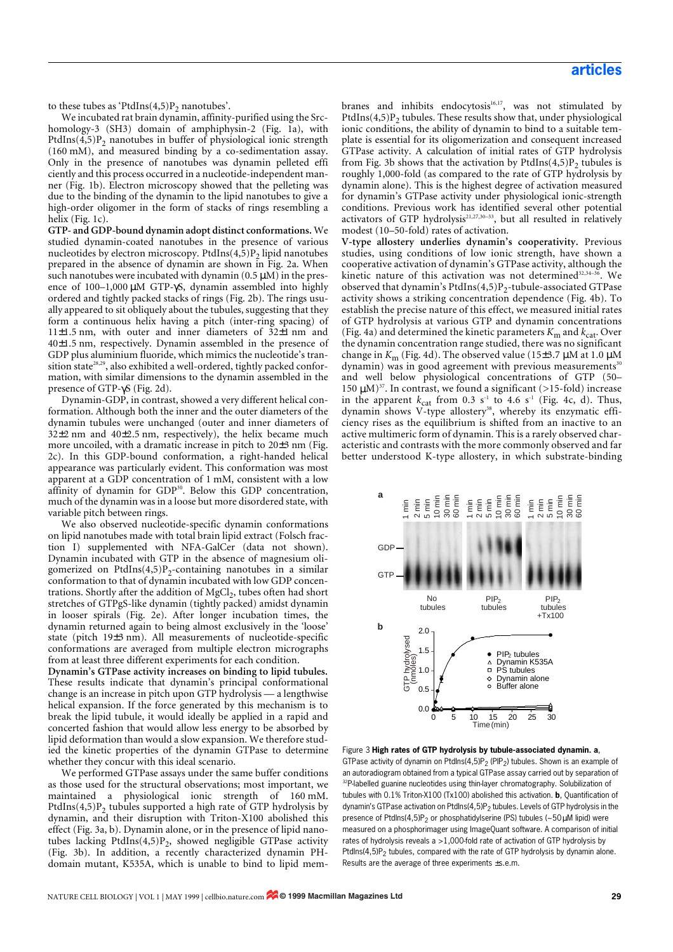to these tubes as 'PtdIns $(4,5)P_2$  nanotubes'.

We incubated rat brain dynamin, affinity-purified using the Srchomology-3 (SH3) domain of amphiphysin-2 (Fig. 1a), with PtdIns $(4,5)$ P<sub>2</sub> nanotubes in buffer of physiological ionic strength (160 mM), and measured binding by a co-sedimentation assay. Only in the presence of nanotubes was dynamin pelleted effi ciently and this process occurred in a nucleotide-independent manner (Fig. 1b). Electron microscopy showed that the pelleting was due to the binding of the dynamin to the lipid nanotubes to give a high-order oligomer in the form of stacks of rings resembling a helix (Fig. 1c).

**GTP- and GDP-bound dynamin adopt distinct conformations.** We studied dynamin-coated nanotubes in the presence of various nucleotides by electron microscopy. PtdIns $(4,5)P_2$  lipid nanotubes prepared in the absence of dynamin are shown in Fig. 2a. When such nanotubes were incubated with dynamin  $(0.5 \mu M)$  in the presence of 100–1,000 µM GTP-γS, dynamin assembled into highly ordered and tightly packed stacks of rings (Fig. 2b). The rings usually appeared to sit obliquely about the tubules, suggesting that they form a continuous helix having a pitch (inter-ring spacing) of 11 $\pm$ 1.5 nm, with outer and inner diameters of 32 $\pm$ 1 nm and 40±1.5 nm, respectively. Dynamin assembled in the presence of GDP plus aluminium fluoride, which mimics the nucleotide's transition state<sup>28,29</sup>, also exhibited a well-ordered, tightly packed conformation, with similar dimensions to the dynamin assembled in the presence of GTP-γS (Fig. 2d).

Dynamin-GDP, in contrast, showed a very different helical conformation. Although both the inner and the outer diameters of the dynamin tubules were unchanged (outer and inner diameters of  $32\pm2$  nm and  $40\pm2.5$  nm, respectively), the helix became much more uncoiled, with a dramatic increase in pitch to 20±3 nm (Fig. 2c). In this GDP-bound conformation, a right-handed helical appearance was particularly evident. This conformation was most apparent at a GDP concentration of 1 mM, consistent with a low affinity of dynamin for GDP<sup>30</sup>. Below this GDP concentration, much of the dynamin was in a loose but more disordered state, with variable pitch between rings.

We also observed nucleotide-specific dynamin conformations on lipid nanotubes made with total brain lipid extract (Folsch fraction I) supplemented with NFA-GalCer (data not shown). Dynamin incubated with GTP in the absence of magnesium oligomerized on PtdIns $(4,5)P_2$ -containing nanotubes in a similar conformation to that of dynamin incubated with low GDP concentrations. Shortly after the addition of MgCl<sub>2</sub>, tubes often had short stretches of GTPgS-like dynamin (tightly packed) amidst dynamin in looser spirals (Fig. 2e). After longer incubation times, the dynamin returned again to being almost exclusively in the 'loose' state (pitch  $19\pm3$  nm). All measurements of nucleotide-specific conformations are averaged from multiple electron micrographs from at least three different experiments for each condition.

**Dynamin's GTPase activity increases on binding to lipid tubules.** These results indicate that dynamin's principal conformational change is an increase in pitch upon GTP hydrolysis — a lengthwise helical expansion. If the force generated by this mechanism is to break the lipid tubule, it would ideally be applied in a rapid and concerted fashion that would allow less energy to be absorbed by lipid deformation than would a slow expansion. We therefore studied the kinetic properties of the dynamin GTPase to determine whether they concur with this ideal scenario.

We performed GTPase assays under the same buffer conditions as those used for the structural observations; most important, we maintained a physiological ionic strength of 160 mM. PtdIns $(4,5)P_2$  tubules supported a high rate of GTP hydrolysis by dynamin, and their disruption with Triton-X100 abolished this effect (Fig. 3a, b). Dynamin alone, or in the presence of lipid nanotubes lacking PtdIns $(4,5)P_2$ , showed negligible GTPase activity (Fig. 3b). In addition, a recently characterized dynamin PHdomain mutant, K535A, which is unable to bind to lipid membranes and inhibits endocytosis<sup>16,17</sup>, was not stimulated by PtdIns $(4,5)P_2$  tubules. These results show that, under physiological ionic conditions, the ability of dynamin to bind to a suitable template is essential for its oligomerization and consequent increased GTPase activity. A calculation of initial rates of GTP hydrolysis from Fig. 3b shows that the activation by PtdIns $(4,5)P_2$  tubules is roughly 1,000-fold (as compared to the rate of GTP hydrolysis by dynamin alone). This is the highest degree of activation measured for dynamin's GTPase activity under physiological ionic-strength conditions. Previous work has identified several other potential activators of GTP hydrolysis<sup>21,27,30-33</sup>, but all resulted in relatively modest (10–50-fold) rates of activation.

**V-type allostery underlies dynamin's cooperativity.** Previous studies, using conditions of low ionic strength, have shown a cooperative activation of dynamin's GTPase activity, although the kinetic nature of this activation was not determined<sup>32,34-36</sup>. We observed that dynamin's PtdIns $(4,5)P_2$ -tubule-associated GTPase activity shows a striking concentration dependence (Fig. 4b). To establish the precise nature of this effect, we measured initial rates of GTP hydrolysis at various GTP and dynamin concentrations (Fig. 4a) and determined the kinetic parameters  $K_{\rm m}$  and  $k_{\rm cat}$ . Over the dynamin concentration range studied, there was no significant change in  $K_m$  (Fig. 4d). The observed value (15±3.7  $\mu$ M at 1.0  $\mu$ M  $d$ ynamin) was in good agreement with previous measurements $30$ and well below physiological concentrations of GTP (50– 150  $\mu$ M)<sup>37</sup>. In contrast, we found a significant (>15-fold) increase in the apparent  $k_{cat}$  from 0.3 s<sup>-1</sup> to 4.6 s<sup>-1</sup> (Fig. 4c, d). Thus, dynamin shows V-type allostery<sup>38</sup>, whereby its enzymatic efficiency rises as the equilibrium is shifted from an inactive to an active multimeric form of dynamin. This is a rarely observed characteristic and contrasts with the more commonly observed and far better understood K-type allostery, in which substrate-binding



Figure 3 **High rates of GTP hydrolysis by tubule-associated dynamin. a**, GTPase activity of dynamin on PtdIns(4,5)P<sub>2</sub> (PIP<sub>2</sub>) tubules. Shown is an example of an autoradiogram obtained from a typical GTPase assay carried out by separation of <sup>32</sup>P-labelled guanine nucleotides using thin-layer chromatography. Solubilization of tubules with 0.1% Triton-X100 (Tx100) abolished this activation. **b**, Quantification of dynamin's GTPase activation on PtdIns(4,5)P<sub>2</sub> tubules. Levels of GTP hydrolysis in the presence of PtdIns(4,5)P<sub>2</sub> or phosphatidylserine (PS) tubules (~50 $\mu$ M lipid) were measured on a phosphorimager using ImageQuant software. A comparison of initial rates of hydrolysis reveals a >1,000-fold rate of activation of GTP hydrolysis by PtdIns(4,5)P<sub>2</sub> tubules, compared with the rate of GTP hydrolysis by dynamin alone. Results are the average of three experiments ±s.e.m.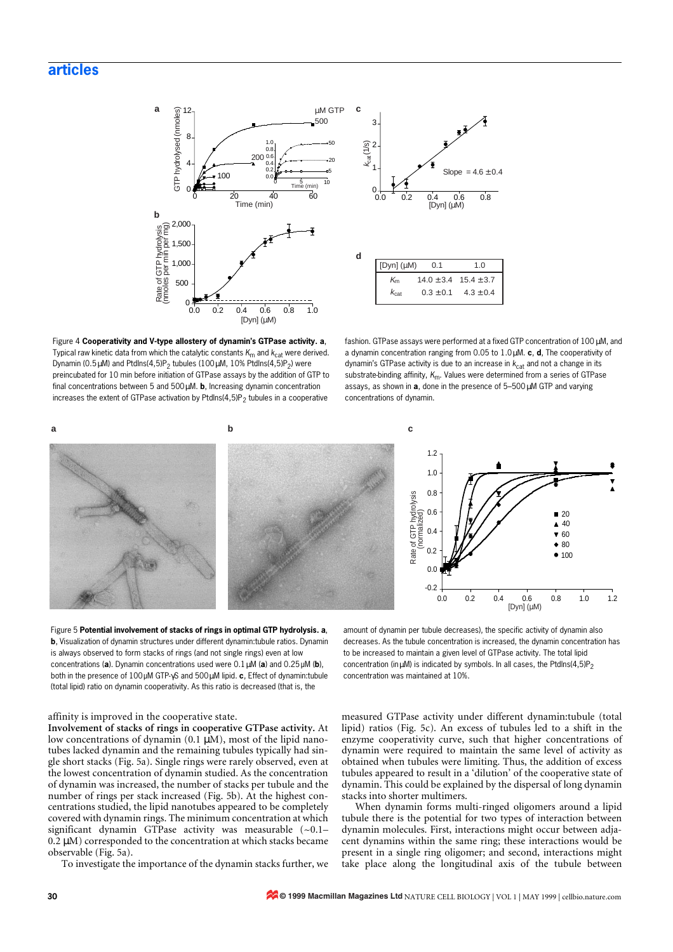

Figure 4 **Cooperativity and V-type allostery of dynamin's GTPase activity. a**, Typical raw kinetic data from which the catalytic constants  $K_{\text{m}}$  and  $K_{\text{cat}}$  were derived. Dynamin (0.5 $\mu$ M) and PtdIns(4,5)P<sub>2</sub> tubules (100 $\mu$ M, 10% PtdIns(4,5)P<sub>2</sub>) were preincubated for 10 min before initiation of GTPase assays by the addition of GTP to final concentrations between 5 and 500µM. **b**, Increasing dynamin concentration increases the extent of GTPase activation by PtdIns(4,5)P<sub>2</sub> tubules in a cooperative

fashion. GTPase assays were performed at a fixed GTP concentration of 100 µM, and a dynamin concentration ranging from 0.05 to 1.0µM. **c**, **d**, The cooperativity of dynamin's GTPase activity is due to an increase in  $k_{cat}$  and not a change in its substrate-binding affinity, K<sub>m</sub>. Values were determined from a series of GTPase assays, as shown in **a**, done in the presence of 5–500µM GTP and varying concentrations of dynamin.



Figure 5 **Potential involvement of stacks of rings in optimal GTP hydrolysis. a**, **b**, Visualization of dynamin structures under different dynamin:tubule ratios. Dynamin is always observed to form stacks of rings (and not single rings) even at low concentrations (**a**). Dynamin concentrations used were 0.1µM (**a**) and 0.25µM (**b**), both in the presence of 100µM GTP-γS and 500µM lipid. **c**, Effect of dynamin:tubule (total lipid) ratio on dynamin cooperativity. As this ratio is decreased (that is, the

### affinity is improved in the cooperative state.

**Involvement of stacks of rings in cooperative GTPase activity.** At low concentrations of dynamin (0.1 μM), most of the lipid nanotubes lacked dynamin and the remaining tubules typically had single short stacks (Fig. 5a). Single rings were rarely observed, even at the lowest concentration of dynamin studied. As the concentration of dynamin was increased, the number of stacks per tubule and the number of rings per stack increased (Fig. 5b). At the highest concentrations studied, the lipid nanotubes appeared to be completely covered with dynamin rings. The minimum concentration at which significant dynamin GTPase activity was measurable  $(-0.1 0.2 \mu$ M) corresponded to the concentration at which stacks became observable (Fig. 5a).

To investigate the importance of the dynamin stacks further, we

amount of dynamin per tubule decreases), the specific activity of dynamin also decreases. As the tubule concentration is increased, the dynamin concentration has to be increased to maintain a given level of GTPase activity. The total lipid concentration (in  $\mu$ M) is indicated by symbols. In all cases, the PtdIns(4,5)P<sub>2</sub> concentration was maintained at 10%.

measured GTPase activity under different dynamin:tubule (total lipid) ratios (Fig. 5c). An excess of tubules led to a shift in the enzyme cooperativity curve, such that higher concentrations of dynamin were required to maintain the same level of activity as obtained when tubules were limiting. Thus, the addition of excess tubules appeared to result in a 'dilution' of the cooperative state of dynamin. This could be explained by the dispersal of long dynamin stacks into shorter multimers.

When dynamin forms multi-ringed oligomers around a lipid tubule there is the potential for two types of interaction between dynamin molecules. First, interactions might occur between adjacent dynamins within the same ring; these interactions would be present in a single ring oligomer; and second, interactions might take place along the longitudinal axis of the tubule between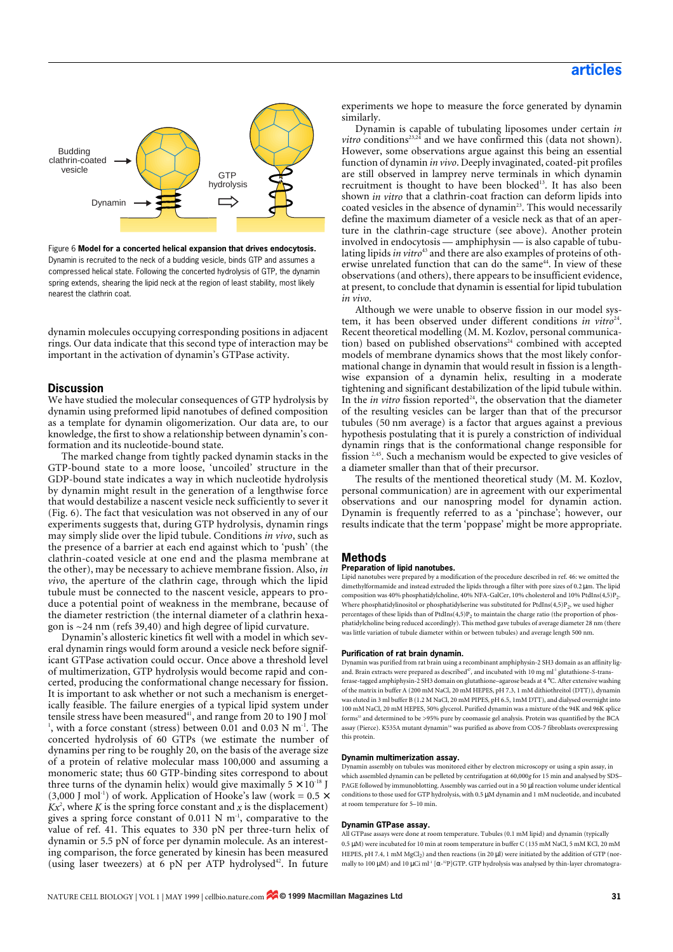

Figure 6 **Model for a concerted helical expansion that drives endocytosis.** Dynamin is recruited to the neck of a budding vesicle, binds GTP and assumes a compressed helical state. Following the concerted hydrolysis of GTP, the dynamin spring extends, shearing the lipid neck at the region of least stability, most likely nearest the clathrin coat.

dynamin molecules occupying corresponding positions in adjacent rings. Our data indicate that this second type of interaction may be important in the activation of dynamin's GTPase activity.

# **Discussion**

We have studied the molecular consequences of GTP hydrolysis by dynamin using preformed lipid nanotubes of defined composition as a template for dynamin oligomerization. Our data are, to our knowledge, the first to show a relationship between dynamin's conformation and its nucleotide-bound state.

The marked change from tightly packed dynamin stacks in the GTP-bound state to a more loose, 'uncoiled' structure in the GDP-bound state indicates a way in which nucleotide hydrolysis by dynamin might result in the generation of a lengthwise force that would destabilize a nascent vesicle neck sufficiently to sever it (Fig. 6). The fact that vesiculation was not observed in any of our experiments suggests that, during GTP hydrolysis, dynamin rings may simply slide over the lipid tubule. Conditions *in vivo*, such as the presence of a barrier at each end against which to 'push' (the clathrin-coated vesicle at one end and the plasma membrane at the other), may be necessary to achieve membrane fission. Also, *in vivo*, the aperture of the clathrin cage, through which the lipid tubule must be connected to the nascent vesicle, appears to produce a potential point of weakness in the membrane, because of the diameter restriction (the internal diameter of a clathrin hexagon is  $\sim$ 24 nm ([refs 39](#page-5-0)[,40\)](#page-5-1) and high degree of lipid curvature.

Dynamin's allosteric kinetics fit well with a model in which several dynamin rings would form around a vesicle neck before significant GTPase activation could occur. Once above a threshold level of multimerization, GTP hydrolysis would become rapid and concerted, producing the conformational change necessary for fission. It is important to ask whether or not such a mechanism is energetically feasible. The failure energies of a typical lipid system under tensile stress have been measured<sup>41</sup>, and range from 20 to 190 J mol<sup>-</sup>  $^{1}$ , with a force constant (stress) between 0.01 and 0.03 N m<sup>-1</sup>. The concerted hydrolysis of 60 GTPs (we estimate the number of dynamins per ring to be roughly 20, on the basis of the average size of a protein of relative molecular mass 100,000 and assuming a monomeric state; thus 60 GTP-binding sites correspond to about three turns of the dynamin helix) would give maximally  $5 \times 10^{-18}$  J (3,000 J mol<sup>-1</sup>) of work. Application of Hooke's law (work =  $0.5 \times$  $Kx<sup>2</sup>$ , where *K* is the spring force constant and *x* is the displacement) gives a spring force constant of 0.011 N  $m^{-1}$ , comparative to the value of [ref. 41.](#page-5-2) This equates to 330 pN per three-turn helix of dynamin or 5.5 pN of force per dynamin molecule. As an interesting comparison, the force generated by kinesin has been measured (using laser tweezers) at 6 pN per ATP hydrolysed<sup>42</sup>. In future

experiments we hope to measure the force generated by dynamin similarly.

Dynamin is capable of tubulating liposomes under certain *in vitro* conditions<sup>23,24</sup> and we have confirmed this (data not shown). However, some observations argue against this being an essential function of dynamin *in vivo*. Deeply invaginated, coated-pit profiles are still observed in lamprey nerve terminals in which dynamin recruitment is thought to have been blocked<sup>13</sup>. It has also been shown *in vitro* that a clathrin-coat fraction can deform lipids into coated vesicles in the absence of dynamin<sup>23</sup>. This would necessarily define the maximum diameter of a vesicle neck as that of an aperture in the clathrin-cage structure (see above). Another protein involved in endocytosis — amphiphysin — is also capable of tubulating lipids *in vitro*<sup>43</sup> and there are also examples of proteins of otherwise unrelated function that can do the same<sup>44</sup>. In view of these observations (and others), there appears to be insufficient evidence, at present, to conclude that dynamin is essential for lipid tubulation *in vivo*.

Although we were unable to observe fission in our model system, it has been observed under different conditions *in vitro*<sup>24</sup>. Recent theoretical modelling (M. M. Kozlov, personal communication) based on published observations<sup>24</sup> combined with accepted models of membrane dynamics shows that the most likely conformational change in dynamin that would result in fission is a lengthwise expansion of a dynamin helix, resulting in a moderate tightening and significant destabilization of the lipid tubule within. In the *in vitro* fission reported<sup>24</sup>, the observation that the diameter of the resulting vesicles can be larger than that of the precursor tubules (50 nm average) is a factor that argues against a previous hypothesis postulating that it is purely a constriction of individual dynamin rings that is the conformational change responsible for fission 2,45. Such a mechanism would be expected to give vesicles of a diameter smaller than that of their precursor.

The results of the mentioned theoretical study (M. M. Kozlov, personal communication) are in agreement with our experimental observations and our nanospring model for dynamin action. Dynamin is frequently referred to as a 'pinchase'; however, our results indicate that the term 'poppase' might be more appropriate.

# **Methods**

# **Preparation of lipid nanotubes.**

Lipid nanotubes were prepared by a modification of the procedure described in [ref. 46:](#page-5-3) we omitted the dimethylformamide and instead extruded the lipids through a filter with pore sizes of 0.2 µm. The lipid composition was 40% phosphatidylcholine, 40% NFA-GalCer, 10% cholesterol and 10% PtdIns(4,5)P2. Where phosphatidylinositol or phosphatidylserine was substituted for  $PtdIns(4,5)P_2$ , we used higher percentages of these lipids than of  $PtdIns(4,5)P_2$  to maintain the charge ratio (the proportion of phosphatidylcholine being reduced accordingly). This method gave tubules of average diameter 28 nm (there was little variation of tubule diameter within or between tubules) and average length 500 nm.

#### **Purification of rat brain dynamin.**

Dynamin was purified from rat brain using a recombinant amphiphysin-2 SH3 domain as an affinity ligand. Brain extracts were prepared as described<sup>47</sup>, and incubated with 10 mg ml<sup>-1</sup> glutathione-S-trans ferase-tagged amphiphysin-2 SH3 domain on glutathione–agarose beads at 4 °C. After extensive washing of the matrix in buffer A (200 mM NaCl, 20 mM HEPES, pH 7.3, 1 mM dithiothreitol (DTT)), dynamin was eluted in 3 ml buffer B (1.2 M NaCl, 20 mM PIPES, pH 6.5, 1mM DTT), and dialysed overnight into 100 mM NaCl, 20 mM HEPES, 50% glycerol. Purified dynamin was a mixture of the 94K and 96K splice forms<sup>33</sup> and determined to be >95% pure by coomassie gel analysis. Protein was quantified by the BCA assay (Pierce). K535A mutant dynamin<sup>16</sup> was purified as above from COS-7 fibroblasts overexpressing this protein.

# **Dynamin multimerization assay.**

Dynamin assembly on tubules was monitored either by electron microscopy or using a spin assay, in which assembled dynamin can be pelleted by centrifugation at 60,000*g* for 15 min and analysed by SDS– PAGE followed by immunoblotting. Assembly was carried out in a 50 µl reaction volume under identical conditions to those used for GTP hydrolysis, with 0.5 µM dynamin and 1 mM nucleotide, and incubated at room temperature for 5–10 min.

## **Dynamin GTPase assay.**

All GTPase assays were done at room temperature. Tubules (0.1 mM lipid) and dynamin (typically 0.5 µM) were incubated for 10 min at room temperature in buffer C (135 mM NaCl, 5 mM KCl, 20 mM HEPES, pH 7.4, 1 mM MgCl<sub>2</sub>) and then reactions (in 20 µl) were initiated by the addition of GTP (normally to 100  $\mu$ M) and 10  $\mu$ Ci ml<sup>-1</sup> [ $\alpha$ -<sup>32</sup>P]GTP. GTP hydrolysis was analysed by thin-layer chromatogra-